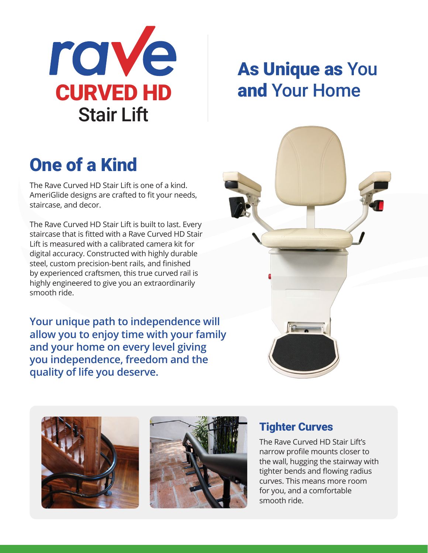

## As Unique as You and Your Home

# **One of a Kind**

The Rave Curved HD Stair Lift is one of a kind. AmeriGlide designs are crafted to fit your needs, staircase, and decor.  $\overline{\phantom{a}}$ 

The Rave Curved HD Stair Lift is built to last. Every staircase that is fitted with a Rave Curved HD Stair Lift is measured with a calibrated camera kit for digital accuracy. Constructed with highly durable steel, custom precision-bent rails, and finished by experienced craftsmen, this true curved rail is highly engineered to give you an extraordinarily smooth ride. digit<br>stee<br>by e

> **Your unique path to independence will allow you to enjoy time with your family and your home on every level giving you independence, freedom and the quality of life you deserve.**







The Helix is narrow profile to the Helix is not the Helix is not the Helix is not the Helix is not the Helix i

#### Tighter Curves

The Rave Curved HD Stair Lift's narrow profile mounts closer to the wall, hugging the stairway with tighter bends and flowing radius curves. This means more room for you, and a comfortable smooth ride.